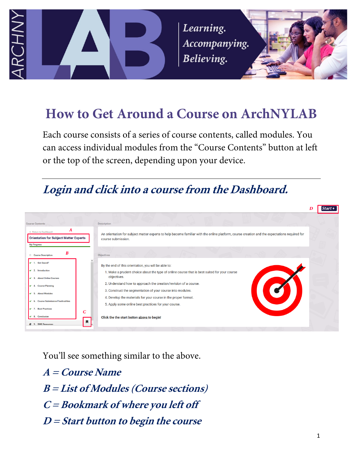

Learning. Accompanying. Believing.



# **How to Get Around a Course on ArchNYLAB**

Each course consists of a series of course contents, called modules. You can access individual modules from the "Course Contents" button at left or the top of the screen, depending upon your device.

# **Login and click into a course from the Dashboard.**



You'll see something similar to the above.

**A = Course Name B = List of Modules (Course sections) C = Bookmark of where you left off D = Start button to begin the course**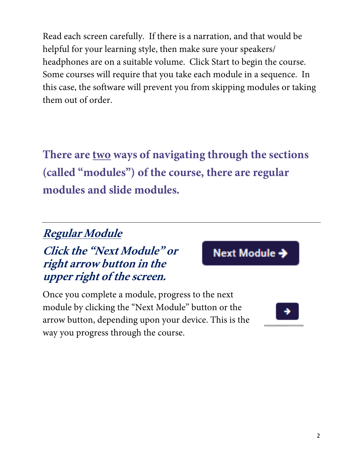Read each screen carefully. If there is a narration, and that would be helpful for your learning style, then make sure your speakers/ headphones are on a suitable volume. Click Start to begin the course. Some courses will require that you take each module in a sequence. In this case, the software will prevent you from skipping modules or taking them out of order.

**There are two ways of navigating through the sections (called "modules") of the course, there are regular modules and slide modules.**

## **Regular Module**

#### **Click the "Next Module" or right arrow button in the upper right of the screen.**

Next Module →

Once you complete a module, progress to the next module by clicking the "Next Module" button or the arrow button, depending upon your device. This is the way you progress through the course.

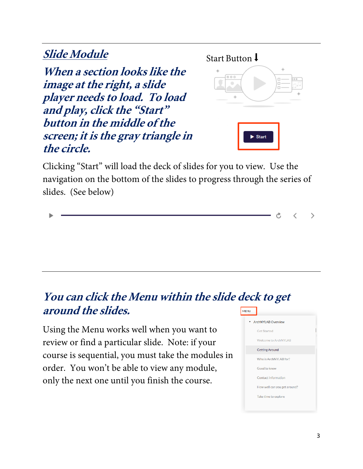### **Slide Module**

**When a section looks like the image at the right, a slide player needs to load. To load and play, click the "Start" button in the middle of the screen; it is the gray triangle in the circle.** 



Clicking "Start" will load the deck of slides for you to view. Use the navigation on the bottom of the slides to progress through the series of slides. (See below)

**You can click the Menu within the slide deck to get around the slides. MENU** 

Using the Menu works well when you want to review or find a particular slide. Note: if your course is sequential, you must take the modules in order. You won't be able to view any module, only the next one until you finish the course.



Ò

く

 $\left. \right\rangle$